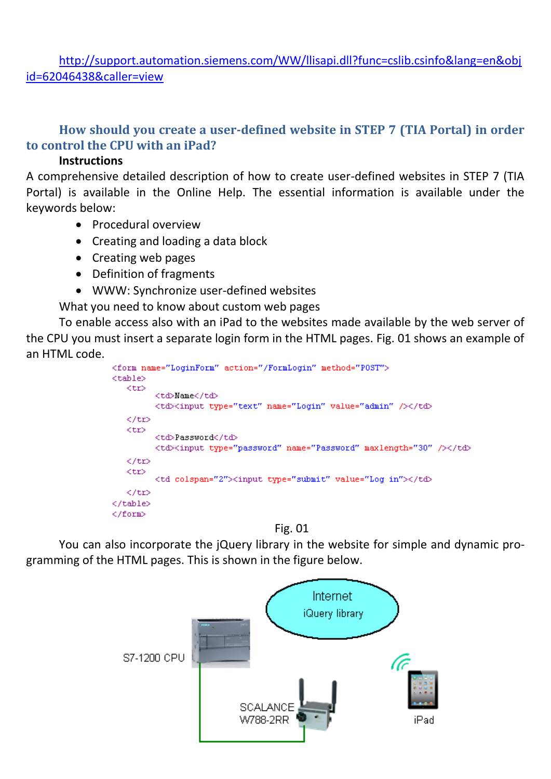[http://support.automation.siemens.com/WW/llisapi.dll?func=cslib.csinfo&lang=en&obj](http://support.automation.siemens.com/WW/llisapi.dll?func=cslib.csinfo&lang=en&objid=62046438&caller=view) [id=62046438&caller=view](http://support.automation.siemens.com/WW/llisapi.dll?func=cslib.csinfo&lang=en&objid=62046438&caller=view)

## **How should you create a user-defined website in STEP 7 (TIA Portal) in order to control the CPU with an iPad?**

#### **Instructions**

A comprehensive detailed description of how to create user-defined websites in STEP 7 (TIA Portal) is available in the Online Help. The essential information is available under the keywords below:

- Procedural overview
- Creating and loading a data block
- Creating web pages
- Definition of fragments
- WWW: Synchronize user-defined websites

What you need to know about custom web pages

To enable access also with an iPad to the websites made available by the web server of the CPU you must insert a separate login form in the HTML pages. Fig. 01 shows an example of an HTML code.

```
<form name="LoginForm" action="/FormLogin" method="POST">
<table>
   <tr>
         <td>Name</td>
         <td><input type="text" name="Login" value="admin" /></td>
   \langle /tr \rangle<tr>
         <td>Password</td>
         <td><input type="password" name="Password" maxlength="30" /></td>
   \langle/tr>
   <tr>
         <td colspan="2"><input type="submit" value="Log in"></td>
   \langle/tr>
</table>
</form>
```


You can also incorporate the jQuery library in the website for simple and dynamic programming of the HTML pages. This is shown in the figure below.

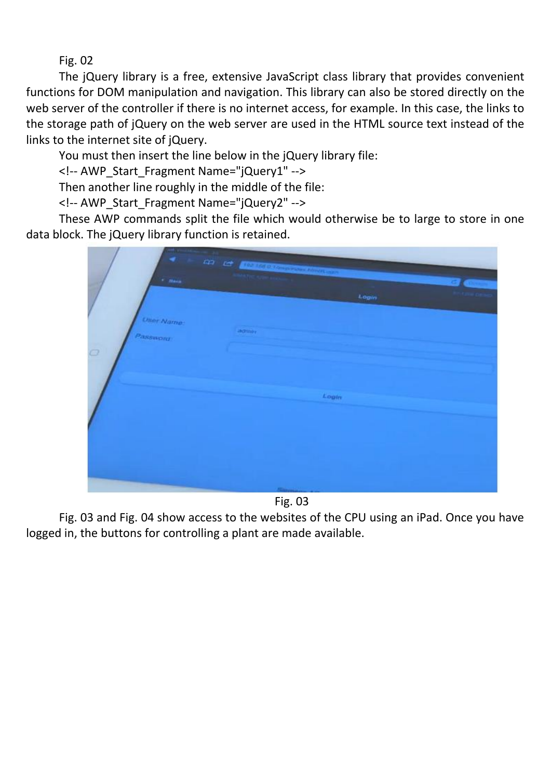Fig. 02

The jQuery library is a free, extensive JavaScript class library that provides convenient functions for DOM manipulation and navigation. This library can also be stored directly on the web server of the controller if there is no internet access, for example. In this case, the links to the storage path of jQuery on the web server are used in the HTML source text instead of the links to the internet site of jQuery.

You must then insert the line below in the jQuery library file:

<!-- AWP\_Start\_Fragment Name="jQuery1" -->

Then another line roughly in the middle of the file:

<!-- AWP\_Start\_Fragment Name="jQuery2" -->

These AWP commands split the file which would otherwise be to large to store in one data block. The jQuery library function is retained.

| ◀<br>$r$ -Henn-                     | an et <b>Distriction</b> Communication<br>Login |  |
|-------------------------------------|-------------------------------------------------|--|
| <b>User Name:</b><br>Password:<br>o | and the con-                                    |  |
|                                     | Login                                           |  |

Fig. 03

Fig. 03 and Fig. 04 show access to the websites of the CPU using an iPad. Once you have logged in, the buttons for controlling a plant are made available.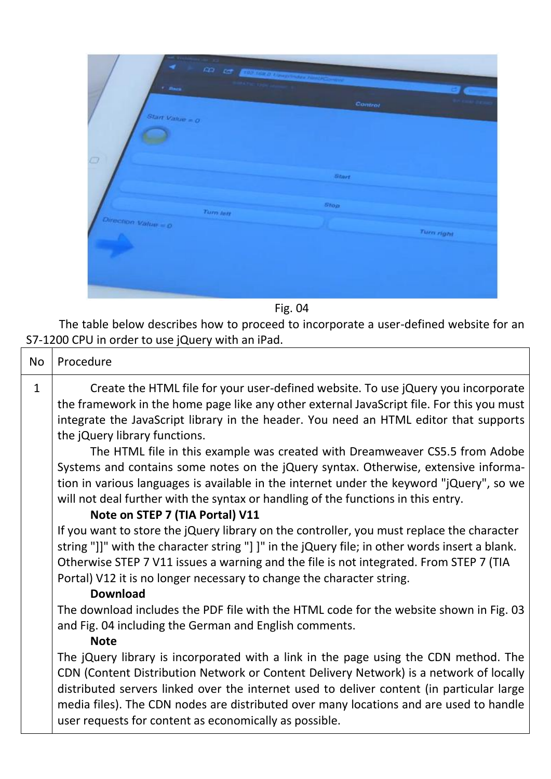| ٠<br>no es communicado en con-<br>$^{\prime}$ -Reck. |         | <b>Designation</b> |
|------------------------------------------------------|---------|--------------------|
|                                                      | Control |                    |
| Start Vakie = $0$                                    |         |                    |
| $\circ$                                              |         |                    |
|                                                      | Start   |                    |
| Turn lett                                            | Stop    |                    |
| Direction Value = 0                                  |         |                    |
|                                                      |         | <b>Turn right</b>  |
|                                                      |         |                    |
|                                                      |         |                    |
|                                                      |         |                    |

Fig. 04

The table below describes how to proceed to incorporate a user-defined website for an S7-1200 CPU in order to use jQuery with an iPad.

| <b>No</b>    | Procedure                                                                                                                                                                                                                                                                                                                                                                                                                                                                                                                                                                                                                                                                                          |
|--------------|----------------------------------------------------------------------------------------------------------------------------------------------------------------------------------------------------------------------------------------------------------------------------------------------------------------------------------------------------------------------------------------------------------------------------------------------------------------------------------------------------------------------------------------------------------------------------------------------------------------------------------------------------------------------------------------------------|
| $\mathbf{1}$ | Create the HTML file for your user-defined website. To use jQuery you incorporate<br>the framework in the home page like any other external JavaScript file. For this you must<br>integrate the JavaScript library in the header. You need an HTML editor that supports<br>the jQuery library functions.<br>The HTML file in this example was created with Dreamweaver CS5.5 from Adobe<br>Systems and contains some notes on the jQuery syntax. Otherwise, extensive informa-<br>tion in various languages is available in the internet under the keyword "jQuery", so we<br>will not deal further with the syntax or handling of the functions in this entry.<br>Note on STEP 7 (TIA Portal) V11 |
|              | If you want to store the jQuery library on the controller, you must replace the character<br>string "]]" with the character string "] ]" in the jQuery file; in other words insert a blank.<br>Otherwise STEP 7 V11 issues a warning and the file is not integrated. From STEP 7 (TIA<br>Portal) V12 it is no longer necessary to change the character string.<br><b>Download</b>                                                                                                                                                                                                                                                                                                                  |
|              | The download includes the PDF file with the HTML code for the website shown in Fig. 03<br>and Fig. 04 including the German and English comments.<br><b>Note</b>                                                                                                                                                                                                                                                                                                                                                                                                                                                                                                                                    |
|              | The jQuery library is incorporated with a link in the page using the CDN method. The<br>CDN (Content Distribution Network or Content Delivery Network) is a network of locally<br>distributed servers linked over the internet used to deliver content (in particular large<br>media files). The CDN nodes are distributed over many locations and are used to handle<br>user requests for content as economically as possible.                                                                                                                                                                                                                                                                    |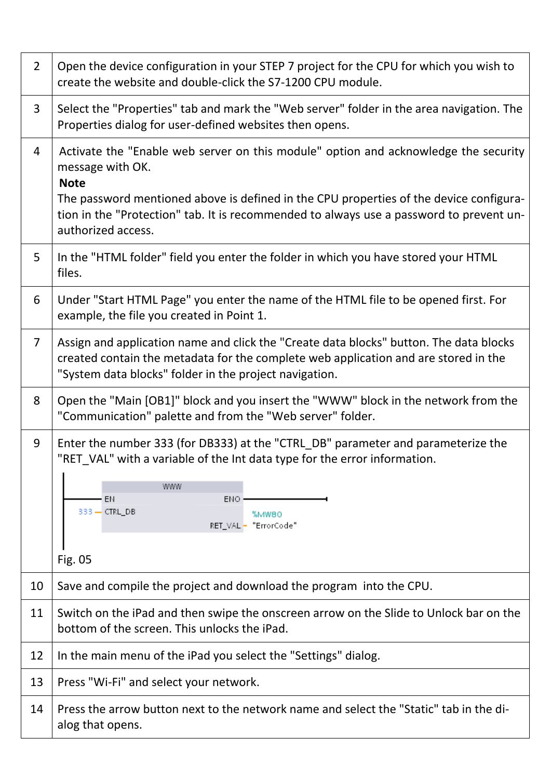| $\overline{2}$ | Open the device configuration in your STEP 7 project for the CPU for which you wish to<br>create the website and double-click the S7-1200 CPU module.                                                                                                                                                                             |  |
|----------------|-----------------------------------------------------------------------------------------------------------------------------------------------------------------------------------------------------------------------------------------------------------------------------------------------------------------------------------|--|
| $\overline{3}$ | Select the "Properties" tab and mark the "Web server" folder in the area navigation. The<br>Properties dialog for user-defined websites then opens.                                                                                                                                                                               |  |
| 4              | Activate the "Enable web server on this module" option and acknowledge the security<br>message with OK.<br><b>Note</b><br>The password mentioned above is defined in the CPU properties of the device configura-<br>tion in the "Protection" tab. It is recommended to always use a password to prevent un-<br>authorized access. |  |
| 5              | In the "HTML folder" field you enter the folder in which you have stored your HTML<br>files.                                                                                                                                                                                                                                      |  |
| 6              | Under "Start HTML Page" you enter the name of the HTML file to be opened first. For<br>example, the file you created in Point 1.                                                                                                                                                                                                  |  |
| $\overline{7}$ | Assign and application name and click the "Create data blocks" button. The data blocks<br>created contain the metadata for the complete web application and are stored in the<br>"System data blocks" folder in the project navigation.                                                                                           |  |
| 8              | Open the "Main [OB1]" block and you insert the "WWW" block in the network from the<br>"Communication" palette and from the "Web server" folder.                                                                                                                                                                                   |  |
| 9              | Enter the number 333 (for DB333) at the "CTRL_DB" parameter and parameterize the<br>"RET_VAL" with a variable of the Int data type for the error information.<br>www<br>EN<br>ENO.<br>333 - CTRL_DB<br>%MW80<br>RET_VAL - "ErrorCode"<br>Fig. 05                                                                                  |  |
| 10             | Save and compile the project and download the program into the CPU.                                                                                                                                                                                                                                                               |  |
| 11             | Switch on the iPad and then swipe the onscreen arrow on the Slide to Unlock bar on the<br>bottom of the screen. This unlocks the iPad.                                                                                                                                                                                            |  |
| 12             | In the main menu of the iPad you select the "Settings" dialog.                                                                                                                                                                                                                                                                    |  |
| 13             | Press "Wi-Fi" and select your network.                                                                                                                                                                                                                                                                                            |  |
| 14             | Press the arrow button next to the network name and select the "Static" tab in the di-<br>alog that opens.                                                                                                                                                                                                                        |  |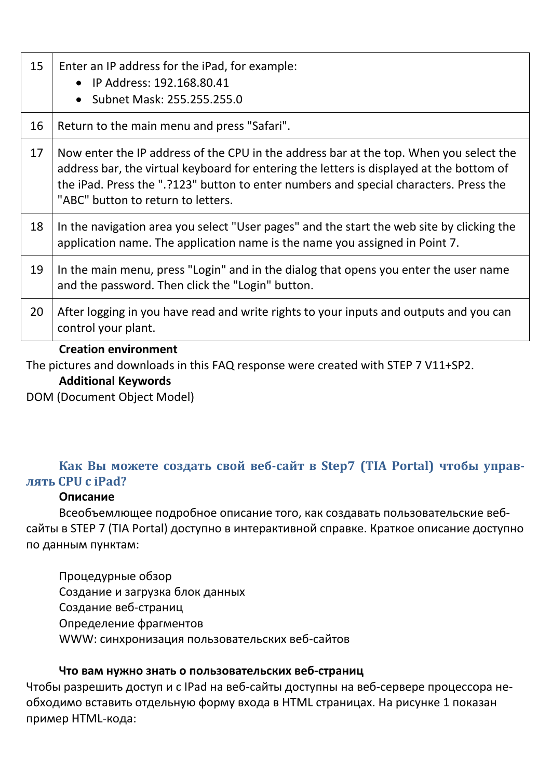| 15 | Enter an IP address for the iPad, for example:<br>• IP Address: 192.168.80.41<br>Subnet Mask: 255.255.255.0<br>$\bullet$                                                                                                                                                                                          |
|----|-------------------------------------------------------------------------------------------------------------------------------------------------------------------------------------------------------------------------------------------------------------------------------------------------------------------|
| 16 | Return to the main menu and press "Safari".                                                                                                                                                                                                                                                                       |
| 17 | Now enter the IP address of the CPU in the address bar at the top. When you select the<br>address bar, the virtual keyboard for entering the letters is displayed at the bottom of<br>the iPad. Press the ".?123" button to enter numbers and special characters. Press the<br>"ABC" button to return to letters. |
| 18 | In the navigation area you select "User pages" and the start the web site by clicking the<br>application name. The application name is the name you assigned in Point 7.                                                                                                                                          |
| 19 | In the main menu, press "Login" and in the dialog that opens you enter the user name<br>and the password. Then click the "Login" button.                                                                                                                                                                          |
| 20 | After logging in you have read and write rights to your inputs and outputs and you can<br>control your plant.                                                                                                                                                                                                     |

### **Creation environment**

The pictures and downloads in this FAQ response were created with STEP 7 V11+SP2.

#### **Additional Keywords**

DOM (Document Object Model)

# **Как Вы можете создать свой веб-сайт в Step7 (TIA Portal) чтобы управлять CPU с iPad?**

#### **Описание**

Всеобъемлющее подробное описание того, как создавать пользовательские вебсайты в STEP 7 (TIA Portal) доступно в интерактивной справке. Краткое описание доступно по данным пунктам:

Процедурные обзор Создание и загрузка блок данных Создание веб-страниц Определение фрагментов WWW: синхронизация пользовательских веб-сайтов

### **Что вам нужно знать о пользовательских веб-страниц**

Чтобы разрешить доступ и с IPad на веб-сайты доступны на веб-сервере процессора необходимо вставить отдельную форму входа в HTML страницах. На рисунке 1 показан пример HTML-кода: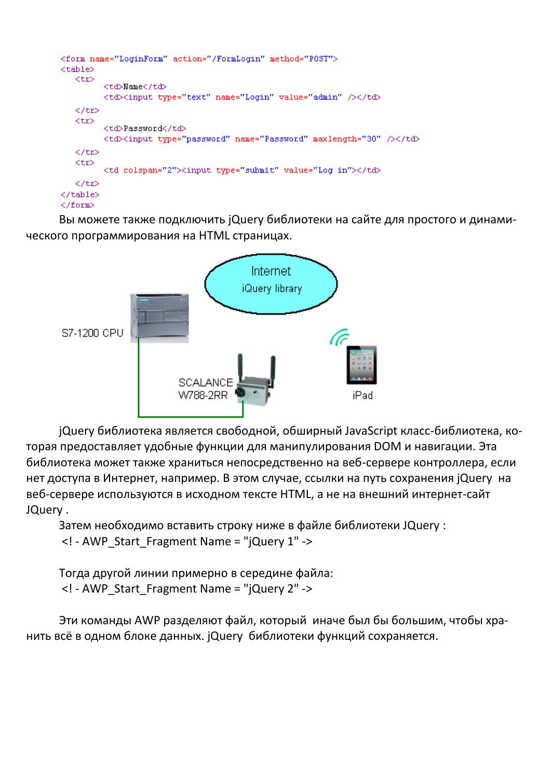```
<form name="LoginForm" action="/FormLogin" method="POST">
<table>
   <tr>
         <td>Name</td>
         <td><input type="text" name="Login" value="admin" /></td>
   \langle/tr>
   <tr>
         <td>Password</td>
         <td><input_type="password" name="Password" maxlength="30" /></td>
   \langle/tr>
   <tr>
         <td colspan="2"><input type="submit" value="Log in"></td>
   \langle/tr>
</table>
</form>
```
Вы можете также подключить jQuery библиотеки на сайте для простого и динамического программирования на HTML страницах.



jQuery библиотека является свободной, обширный JavaScript класс-библиотека, которая предоставляет удобные функции для манипулирования DOM и навигации. Эта библиотека может также храниться непосредственно на веб-сервере контроллера, если нет доступа в Интернет, например. В этом случае, ссылки на путь сохранения jQuery на веб-сервере используются в исходном тексте HTML, а не на внешний интернет-сайт JQuery .

Затем необходимо вставить строку ниже в файле библиотеки JQuery : <! - AWP\_Start\_Fragment Name = "jQuery 1" ->

Тогда другой линии примерно в середине файла: <! - AWP\_Start\_Fragment Name = "jQuery 2" ->

Эти команды AWP разделяют файл, который иначе был бы большим, чтобы хранить всё в одном блоке данных. jQuery библиотеки функций сохраняется.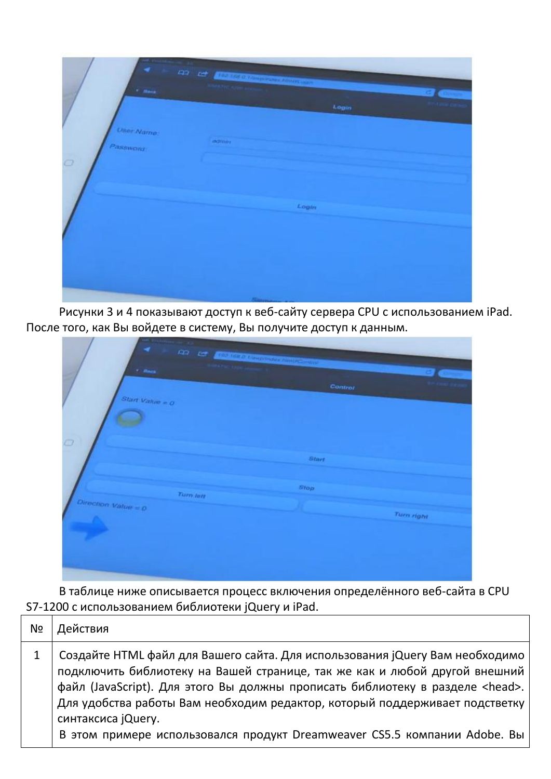| $+$ Hava                                  | an et <b>Domaine</b> se magen | Login  |  |
|-------------------------------------------|-------------------------------|--------|--|
| <b>User Name:</b><br>Password:<br>$\circ$ | altresser.                    | Login  |  |
|                                           |                               | Simman |  |

Рисунки 3 и 4 показывают доступ к веб-сайту сервера CPU с использованием iPad. После того, как Вы войдете в систему, Вы получите доступ к данным.

| ٠<br>$F$ -Recall    |                  | An of Contracting to the same |         |                   |
|---------------------|------------------|-------------------------------|---------|-------------------|
| Start Value = $Q$   |                  |                               | Control |                   |
|                     |                  |                               |         |                   |
| $\Box$              |                  |                               | Start   |                   |
|                     | <b>Turn lett</b> | Stop.                         |         |                   |
| Direction Value = 0 |                  |                               |         | <b>Turn right</b> |
|                     |                  |                               |         |                   |
|                     |                  |                               |         |                   |

В таблице ниже описывается процесс включения определённого веб-сайта в CPU S7-1200 с использованием библиотеки jQuery и iPad.

| N <sub>o</sub> | Действия                                                                                                                                                                                                                                                                                                                                                                                                                                |
|----------------|-----------------------------------------------------------------------------------------------------------------------------------------------------------------------------------------------------------------------------------------------------------------------------------------------------------------------------------------------------------------------------------------------------------------------------------------|
|                | Создайте HTML файл для Вашего сайта. Для использования jQuery Вам необходимо<br>подключить библиотеку на Вашей странице, так же как и любой другой внешний<br>файл (JavaScript). Для этого Вы должны прописать библиотеку в разделе <head>.<br/>Для удобства работы Вам необходим редактор, который поддерживает подстветку<br/>синтаксиса jQuery.<br/>В этом примере использовался продукт Dreamweaver CS5.5 компании Adobe. Вы</head> |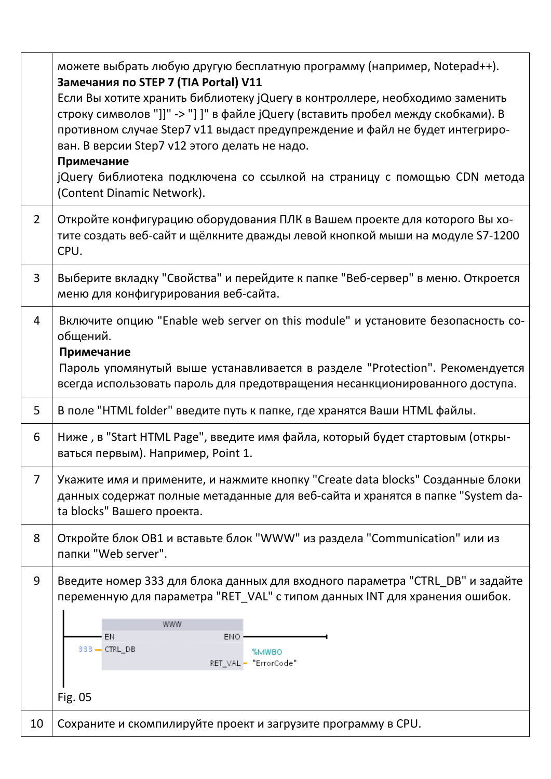|                | можете выбрать любую другую бесплатную программу (например, Notepad++).<br>Замечания по STEP 7 (TIA Portal) V11<br>Если Вы хотите хранить библиотеку jQuery в контроллере, необходимо заменить<br>строку символов "]]" -> "] ]" в файле jQuery (вставить пробел между скобками). В<br>противном случае Step7 v11 выдаст предупреждение и файл не будет интегриро-<br>ван. В версии Step7 v12 этого делать не надо.<br>Примечание<br>jQuery библиотека подключена со ссылкой на страницу с помощью CDN метода<br>(Content Dinamic Network). |
|----------------|--------------------------------------------------------------------------------------------------------------------------------------------------------------------------------------------------------------------------------------------------------------------------------------------------------------------------------------------------------------------------------------------------------------------------------------------------------------------------------------------------------------------------------------------|
| $\overline{2}$ | Откройте конфигурацию оборудования ПЛК в Вашем проекте для которого Вы хо-<br>тите создать веб-сайт и щёлкните дважды левой кнопкой мыши на модуле S7-1200<br>CPU.                                                                                                                                                                                                                                                                                                                                                                         |
| 3              | Выберите вкладку "Свойства" и перейдите к папке "Веб-сервер" в меню. Откроется<br>меню для конфигурирования веб-сайта.                                                                                                                                                                                                                                                                                                                                                                                                                     |
| 4              | Включите опцию "Enable web server on this module" и установите безопасность со-<br>общений.<br>Примечание<br>Пароль упомянутый выше устанавливается в разделе "Protection". Рекомендуется<br>всегда использовать пароль для предотвращения несанкционированного доступа.                                                                                                                                                                                                                                                                   |
| 5              | В поле "HTML folder" введите путь к папке, где хранятся Ваши HTML файлы.                                                                                                                                                                                                                                                                                                                                                                                                                                                                   |
| 6              | Ниже, в "Start HTML Page", введите имя файла, который будет стартовым (откры-<br>ваться первым). Например, Point 1.                                                                                                                                                                                                                                                                                                                                                                                                                        |
| $\overline{7}$ | Укажите имя и примените, и нажмите кнопку "Create data blocks" Созданные блоки<br>данных содержат полные метаданные для веб-сайта и хранятся в папке "System da-<br>ta blocks" Вашего проекта.                                                                                                                                                                                                                                                                                                                                             |
| 8              | Откройте блок OB1 и вставьте блок "WWW" из раздела "Communication" или из<br>папки "Web server".                                                                                                                                                                                                                                                                                                                                                                                                                                           |
| 9              | Введите номер 333 для блока данных для входного параметра "CTRL_DB" и задайте<br>переменную для параметра "RET_VAL" с типом данных INT для хранения ошибок.<br>www<br>EN<br>ENO.<br>333 - CTRL_DB<br>%MW80<br>RET_VAL - "ErrorCode"<br>Fig. 05                                                                                                                                                                                                                                                                                             |
| 10             | Сохраните и скомпилируйте проект и загрузите программу в CPU.                                                                                                                                                                                                                                                                                                                                                                                                                                                                              |